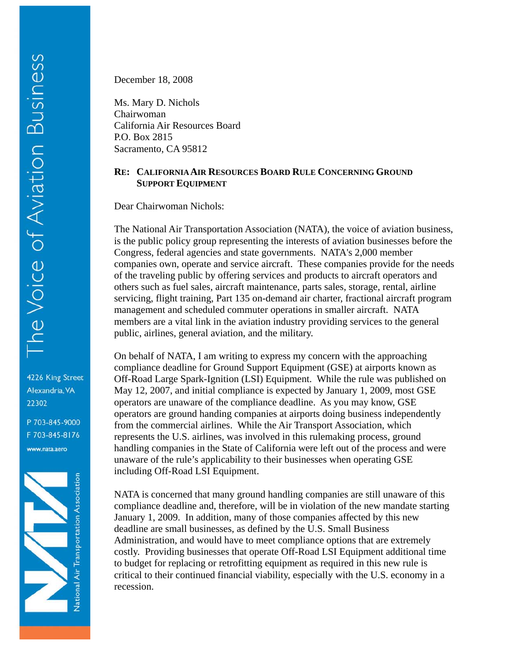4226 King Street Alexandria, VA 22302

P 703-845-9000 F 703-845-8176 www.nata.aero



December 18, 2008

Ms. Mary D. Nichols Chairwoman California Air Resources Board P.O. Box 2815 Sacramento, CA 95812

## **RE: CALIFORNIA AIR RESOURCES BOARD RULE CONCERNING GROUND SUPPORT EQUIPMENT**

Dear Chairwoman Nichols:

The National Air Transportation Association (NATA), the voice of aviation business, is the public policy group representing the interests of aviation businesses before the Congress, federal agencies and state governments. NATA's 2,000 member companies own, operate and service aircraft. These companies provide for the needs of the traveling public by offering services and products to aircraft operators and others such as fuel sales, aircraft maintenance, parts sales, storage, rental, airline servicing, flight training, Part 135 on-demand air charter, fractional aircraft program management and scheduled commuter operations in smaller aircraft. NATA members are a vital link in the aviation industry providing services to the general public, airlines, general aviation, and the military.

On behalf of NATA, I am writing to express my concern with the approaching compliance deadline for Ground Support Equipment (GSE) at airports known as Off-Road Large Spark-Ignition (LSI) Equipment. While the rule was published on May 12, 2007, and initial compliance is expected by January 1, 2009, most GSE operators are unaware of the compliance deadline. As you may know, GSE operators are ground handing companies at airports doing business independently from the commercial airlines. While the Air Transport Association, which represents the U.S. airlines, was involved in this rulemaking process, ground handling companies in the State of California were left out of the process and were unaware of the rule's applicability to their businesses when operating GSE including Off-Road LSI Equipment.

NATA is concerned that many ground handling companies are still unaware of this compliance deadline and, therefore, will be in violation of the new mandate starting January 1, 2009. In addition, many of those companies affected by this new deadline are small businesses, as defined by the U.S. Small Business Administration, and would have to meet compliance options that are extremely costly. Providing businesses that operate Off-Road LSI Equipment additional time to budget for replacing or retrofitting equipment as required in this new rule is critical to their continued financial viability, especially with the U.S. economy in a recession.